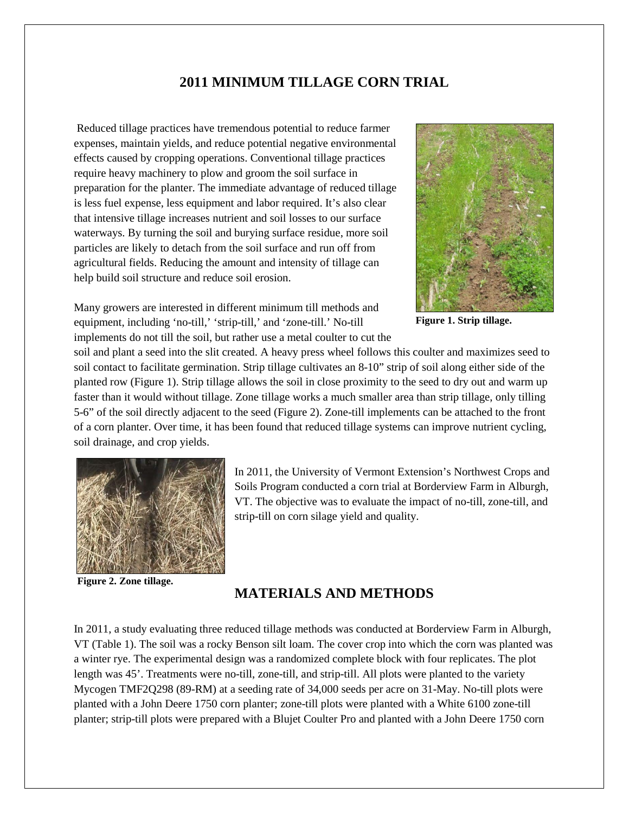# **2011 MINIMUM TILLAGE CORN TRIAL**

Reduced tillage practices have tremendous potential to reduce farmer expenses, maintain yields, and reduce potential negative environmental effects caused by cropping operations. Conventional tillage practices require heavy machinery to plow and groom the soil surface in preparation for the planter. The immediate advantage of reduced tillage is less fuel expense, less equipment and labor required. It's also clear that intensive tillage increases nutrient and soil losses to our surface waterways. By turning the soil and burying surface residue, more soil particles are likely to detach from the soil surface and run off from agricultural fields. Reducing the amount and intensity of tillage can help build soil structure and reduce soil erosion.



**Figure 1. Strip tillage.**

Many growers are interested in different minimum till methods and equipment, including 'no-till,' 'strip-till,' and 'zone-till.' No-till implements do not till the soil, but rather use a metal coulter to cut the

soil and plant a seed into the slit created. A heavy press wheel follows this coulter and maximizes seed to soil contact to facilitate germination. Strip tillage cultivates an 8-10" strip of soil along either side of the planted row (Figure 1). Strip tillage allows the soil in close proximity to the seed to dry out and warm up faster than it would without tillage. Zone tillage works a much smaller area than strip tillage, only tilling 5-6" of the soil directly adjacent to the seed (Figure 2). Zone-till implements can be attached to the front of a corn planter. Over time, it has been found that reduced tillage systems can improve nutrient cycling, soil drainage, and crop yields.



**Figure 2. Zone tillage.**

In 2011, the University of Vermont Extension's Northwest Crops and Soils Program conducted a corn trial at Borderview Farm in Alburgh, VT. The objective was to evaluate the impact of no-till, zone-till, and strip-till on corn silage yield and quality.

### **MATERIALS AND METHODS**

In 2011, a study evaluating three reduced tillage methods was conducted at Borderview Farm in Alburgh, VT (Table 1). The soil was a rocky Benson silt loam. The cover crop into which the corn was planted was a winter rye. The experimental design was a randomized complete block with four replicates. The plot length was 45'. Treatments were no-till, zone-till, and strip-till. All plots were planted to the variety Mycogen TMF2Q298 (89-RM) at a seeding rate of 34,000 seeds per acre on 31-May. No-till plots were planted with a John Deere 1750 corn planter; zone-till plots were planted with a White 6100 zone-till planter; strip-till plots were prepared with a Blujet Coulter Pro and planted with a John Deere 1750 corn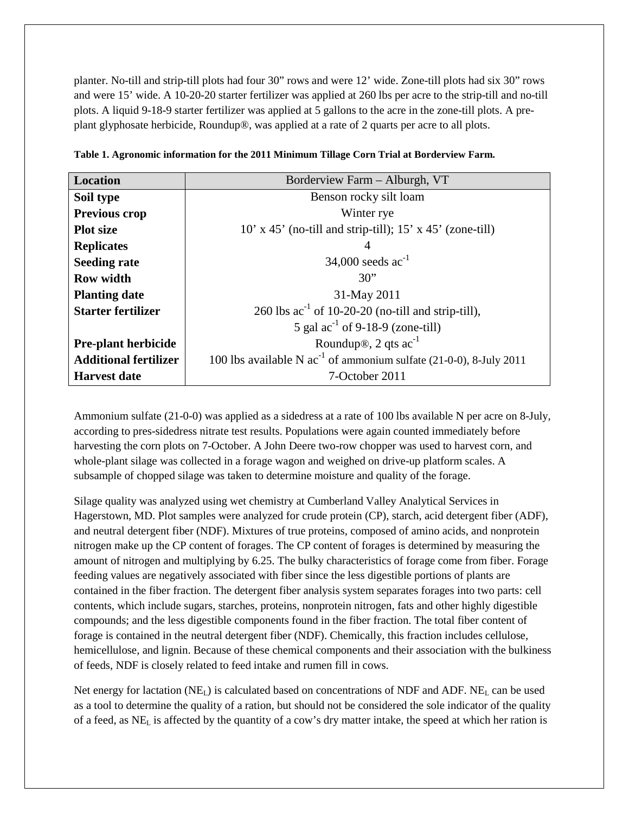planter. No-till and strip-till plots had four 30" rows and were 12' wide. Zone-till plots had six 30" rows and were 15' wide. A 10-20-20 starter fertilizer was applied at 260 lbs per acre to the strip-till and no-till plots. A liquid 9-18-9 starter fertilizer was applied at 5 gallons to the acre in the zone-till plots. A preplant glyphosate herbicide, Roundup®, was applied at a rate of 2 quarts per acre to all plots.

| <b>Location</b>              | Borderview Farm - Alburgh, VT                                           |  |  |  |  |  |
|------------------------------|-------------------------------------------------------------------------|--|--|--|--|--|
| Soil type                    | Benson rocky silt loam                                                  |  |  |  |  |  |
| <b>Previous crop</b>         | Winter rye                                                              |  |  |  |  |  |
| <b>Plot</b> size             | $10'$ x 45' (no-till and strip-till); 15' x 45' (zone-till)             |  |  |  |  |  |
| <b>Replicates</b>            | 4                                                                       |  |  |  |  |  |
| <b>Seeding rate</b>          | 34,000 seeds $ac^{-1}$                                                  |  |  |  |  |  |
| <b>Row width</b>             | 30"                                                                     |  |  |  |  |  |
| <b>Planting date</b>         | 31-May 2011                                                             |  |  |  |  |  |
| <b>Starter fertilizer</b>    | 260 lbs $ac^{-1}$ of 10-20-20 (no-till and strip-till),                 |  |  |  |  |  |
|                              | 5 gal $ac^{-1}$ of 9-18-9 (zone-till)                                   |  |  |  |  |  |
| <b>Pre-plant herbicide</b>   | Roundup®, 2 qts $ac^{-1}$                                               |  |  |  |  |  |
| <b>Additional fertilizer</b> | 100 lbs available N $ac^{-1}$ of ammonium sulfate (21-0-0), 8-July 2011 |  |  |  |  |  |
| <b>Harvest date</b>          | 7-October 2011                                                          |  |  |  |  |  |

|  | Table 1. Agronomic information for the 2011 Minimum Tillage Corn Trial at Borderview Farm. |  |  |  |  |  |  |
|--|--------------------------------------------------------------------------------------------|--|--|--|--|--|--|
|  |                                                                                            |  |  |  |  |  |  |
|  |                                                                                            |  |  |  |  |  |  |
|  |                                                                                            |  |  |  |  |  |  |

Ammonium sulfate (21-0-0) was applied as a sidedress at a rate of 100 lbs available N per acre on 8-July, according to pres-sidedress nitrate test results. Populations were again counted immediately before harvesting the corn plots on 7-October. A John Deere two-row chopper was used to harvest corn, and whole-plant silage was collected in a forage wagon and weighed on drive-up platform scales. A subsample of chopped silage was taken to determine moisture and quality of the forage.

Silage quality was analyzed using wet chemistry at Cumberland Valley Analytical Services in Hagerstown, MD. Plot samples were analyzed for crude protein (CP), starch, acid detergent fiber (ADF), and neutral detergent fiber (NDF). Mixtures of true proteins, composed of amino acids, and nonprotein nitrogen make up the CP content of forages. The CP content of forages is determined by measuring the amount of nitrogen and multiplying by 6.25. The bulky characteristics of forage come from fiber. Forage feeding values are negatively associated with fiber since the less digestible portions of plants are contained in the fiber fraction. The detergent fiber analysis system separates forages into two parts: cell contents, which include sugars, starches, proteins, nonprotein nitrogen, fats and other highly digestible compounds; and the less digestible components found in the fiber fraction. The total fiber content of forage is contained in the neutral detergent fiber (NDF). Chemically, this fraction includes cellulose, hemicellulose, and lignin. Because of these chemical components and their association with the bulkiness of feeds, NDF is closely related to feed intake and rumen fill in cows.

Net energy for lactation  $(NE_L)$  is calculated based on concentrations of NDF and ADF. NE<sub>L</sub> can be used as a tool to determine the quality of a ration, but should not be considered the sole indicator of the quality of a feed, as NEL is affected by the quantity of a cow's dry matter intake, the speed at which her ration is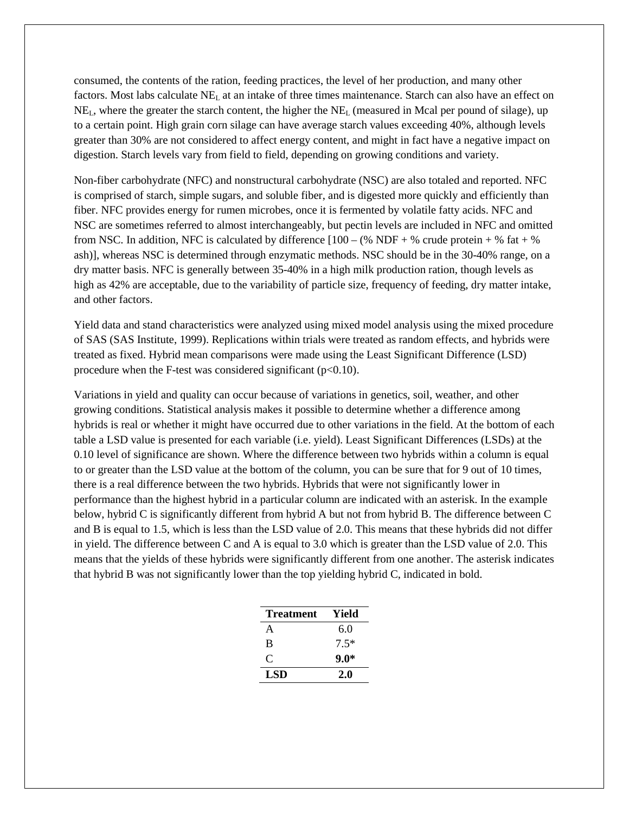consumed, the contents of the ration, feeding practices, the level of her production, and many other factors. Most labs calculate NE<sub>L</sub> at an intake of three times maintenance. Starch can also have an effect on NEL, where the greater the starch content, the higher the NEL (measured in Mcal per pound of silage), up to a certain point. High grain corn silage can have average starch values exceeding 40%, although levels greater than 30% are not considered to affect energy content, and might in fact have a negative impact on digestion. Starch levels vary from field to field, depending on growing conditions and variety.

Non-fiber carbohydrate (NFC) and nonstructural carbohydrate (NSC) are also totaled and reported. NFC is comprised of starch, simple sugars, and soluble fiber, and is digested more quickly and efficiently than fiber. NFC provides energy for rumen microbes, once it is fermented by volatile fatty acids. NFC and NSC are sometimes referred to almost interchangeably, but pectin levels are included in NFC and omitted from NSC. In addition, NFC is calculated by difference  $[100 - (\% \text{ NDF} + \% \text{ crude protein} + \% \text{ fat} + \% \text{ C})]$ ash)], whereas NSC is determined through enzymatic methods. NSC should be in the 30-40% range, on a dry matter basis. NFC is generally between 35-40% in a high milk production ration, though levels as high as 42% are acceptable, due to the variability of particle size, frequency of feeding, dry matter intake, and other factors.

Yield data and stand characteristics were analyzed using mixed model analysis using the mixed procedure of SAS (SAS Institute, 1999). Replications within trials were treated as random effects, and hybrids were treated as fixed. Hybrid mean comparisons were made using the Least Significant Difference (LSD) procedure when the F-test was considered significant  $(p<0.10)$ .

Variations in yield and quality can occur because of variations in genetics, soil, weather, and other growing conditions. Statistical analysis makes it possible to determine whether a difference among hybrids is real or whether it might have occurred due to other variations in the field. At the bottom of each table a LSD value is presented for each variable (i.e. yield). Least Significant Differences (LSDs) at the 0.10 level of significance are shown. Where the difference between two hybrids within a column is equal to or greater than the LSD value at the bottom of the column, you can be sure that for 9 out of 10 times, there is a real difference between the two hybrids. Hybrids that were not significantly lower in performance than the highest hybrid in a particular column are indicated with an asterisk. In the example below, hybrid C is significantly different from hybrid A but not from hybrid B. The difference between C and B is equal to 1.5, which is less than the LSD value of 2.0. This means that these hybrids did not differ in yield. The difference between C and A is equal to 3.0 which is greater than the LSD value of 2.0. This means that the yields of these hybrids were significantly different from one another. The asterisk indicates that hybrid B was not significantly lower than the top yielding hybrid C, indicated in bold.

| Treatment  | Yield  |
|------------|--------|
| A          | 6.0    |
| B          | $7.5*$ |
| $\subset$  | $9.0*$ |
| <b>LSD</b> | 2.0    |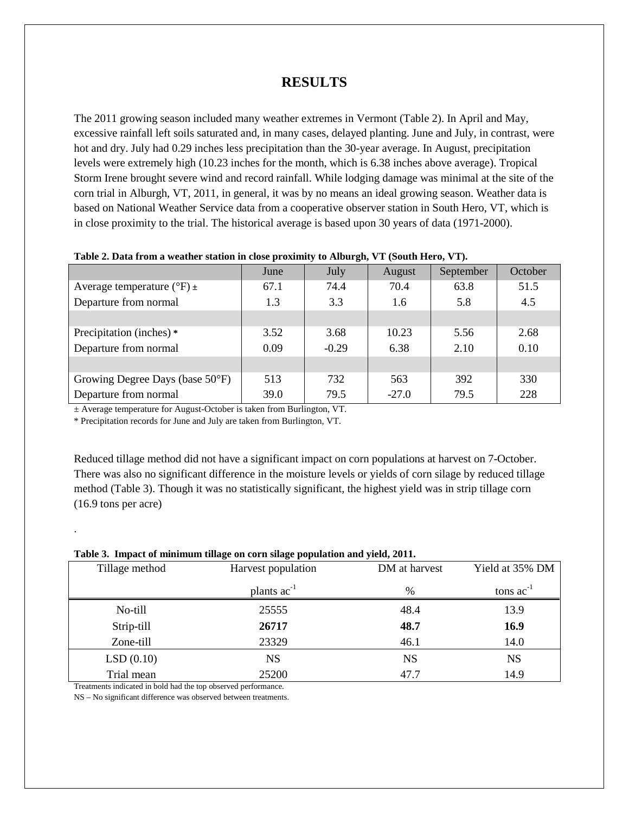### **RESULTS**

The 2011 growing season included many weather extremes in Vermont (Table 2). In April and May, excessive rainfall left soils saturated and, in many cases, delayed planting. June and July, in contrast, were hot and dry. July had 0.29 inches less precipitation than the 30-year average. In August, precipitation levels were extremely high (10.23 inches for the month, which is 6.38 inches above average). Tropical Storm Irene brought severe wind and record rainfall. While lodging damage was minimal at the site of the corn trial in Alburgh, VT, 2011, in general, it was by no means an ideal growing season. Weather data is based on National Weather Service data from a cooperative observer station in South Hero, VT, which is in close proximity to the trial. The historical average is based upon 30 years of data (1971-2000).

|                                         | June | July    | August  | September | October |
|-----------------------------------------|------|---------|---------|-----------|---------|
| Average temperature ( ${}^{\circ}$ F) ± | 67.1 | 74.4    | 70.4    | 63.8      | 51.5    |
| Departure from normal                   | 1.3  | 3.3     | 1.6     | 5.8       | 4.5     |
|                                         |      |         |         |           |         |
| Precipitation (inches) *                | 3.52 | 3.68    | 10.23   | 5.56      | 2.68    |
| Departure from normal                   | 0.09 | $-0.29$ | 6.38    | 2.10      | 0.10    |
|                                         |      |         |         |           |         |
| Growing Degree Days (base 50°F)         | 513  | 732     | 563     | 392       | 330     |
| Departure from normal                   | 39.0 | 79.5    | $-27.0$ | 79.5      | 228     |

#### **Table 2. Data from a weather station in close proximity to Alburgh, VT (South Hero, VT).**

± Average temperature for August-October is taken from Burlington, VT.

\* Precipitation records for June and July are taken from Burlington, VT.

Reduced tillage method did not have a significant impact on corn populations at harvest on 7-October. There was also no significant difference in the moisture levels or yields of corn silage by reduced tillage method (Table 3). Though it was no statistically significant, the highest yield was in strip tillage corn (16.9 tons per acre)

| Table 5. Thipact of minimum thiage on corn shage population and yield, 2011. |                    |               |                 |  |  |  |  |  |
|------------------------------------------------------------------------------|--------------------|---------------|-----------------|--|--|--|--|--|
| Tillage method                                                               | Harvest population | DM at harvest | Yield at 35% DM |  |  |  |  |  |
|                                                                              | plants $ac^{-1}$   | %             | tons $ac^{-1}$  |  |  |  |  |  |
| No-till                                                                      | 25555              | 48.4          | 13.9            |  |  |  |  |  |
| Strip-till                                                                   | 26717              | 48.7          | 16.9            |  |  |  |  |  |
| Zone-till                                                                    | 23329              | 46.1          | 14.0            |  |  |  |  |  |
| LSD(0.10)                                                                    | <b>NS</b>          | NS            | NS              |  |  |  |  |  |
| Trial mean                                                                   | 25200              | 47.7          | 14.9            |  |  |  |  |  |

### **Table 3. Impact of minimum tillage on corn silage population and yield, 2011.**

Treatments indicated in bold had the top observed performance.

.

NS – No significant difference was observed between treatments.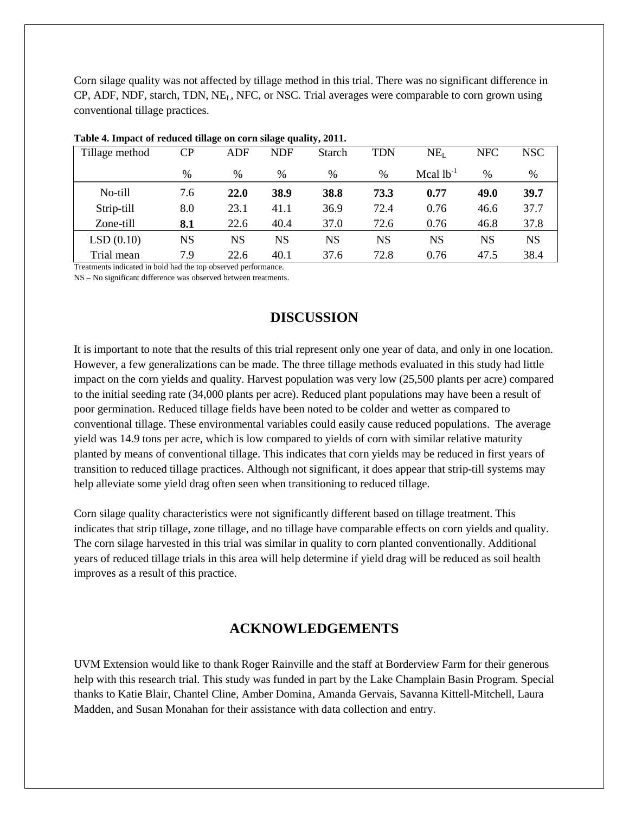Corn silage quality was not affected by tillage method in this trial. There was no significant difference in CP, ADF, NDF, starch, TDN, NEL, NFC, or NSC. Trial averages were comparable to corn grown using conventional tillage practices.

| Tillage method | CР  | ADF  | NDF  | Starch | <b>TDN</b> | NE <sub>L</sub> | <b>NFC</b> | NSC.      |  |  |
|----------------|-----|------|------|--------|------------|-----------------|------------|-----------|--|--|
|                | %   | $\%$ | %    | %      | %          | Mcal $lb^{-1}$  | %          | %         |  |  |
| No-till        | 7.6 | 22.0 | 38.9 | 38.8   | 73.3       | 0.77            | 49.0       | 39.7      |  |  |
| Strip-till     | 8.0 | 23.1 | 41.1 | 36.9   | 72.4       | 0.76            | 46.6       | 37.7      |  |  |
| Zone-till      | 8.1 | 22.6 | 40.4 | 37.0   | 72.6       | 0.76            | 46.8       | 37.8      |  |  |
| LSD(0.10)      | NS  | NS   | NS   | NS     | NS         | NS              | NS         | <b>NS</b> |  |  |
| Trial mean     | 7.9 | 22.6 | 40.1 | 37.6   | 72.8       | 0.76            | 47.5       | 38.4      |  |  |

|  |  |  |  |  | Table 4. Impact of reduced tillage on corn silage quality, 2011. |  |
|--|--|--|--|--|------------------------------------------------------------------|--|
|  |  |  |  |  |                                                                  |  |

Treatments indicated in bold had the top observed performance.

NS – No significant difference was observed between treatments.

# **DISCUSSION**

It is important to note that the results of this trial represent only one year of data, and only in one location. However, a few generalizations can be made. The three tillage methods evaluated in this study had little impact on the corn yields and quality. Harvest population was very low (25,500 plants per acre) compared to the initial seeding rate (34,000 plants per acre). Reduced plant populations may have been a result of poor germination. Reduced tillage fields have been noted to be colder and wetter as compared to conventional tillage. These environmental variables could easily cause reduced populations. The average yield was 14.9 tons per acre, which is low compared to yields of corn with similar relative maturity planted by means of conventional tillage. This indicates that corn yields may be reduced in first years of transition to reduced tillage practices. Although not significant, it does appear that strip-till systems may help alleviate some yield drag often seen when transitioning to reduced tillage.

Corn silage quality characteristics were not significantly different based on tillage treatment. This indicates that strip tillage, zone tillage, and no tillage have comparable effects on corn yields and quality. The corn silage harvested in this trial was similar in quality to corn planted conventionally. Additional years of reduced tillage trials in this area will help determine if yield drag will be reduced as soil health improves as a result of this practice.

# **ACKNOWLEDGEMENTS**

UVM Extension would like to thank Roger Rainville and the staff at Borderview Farm for their generous help with this research trial. This study was funded in part by the Lake Champlain Basin Program. Special thanks to Katie Blair, Chantel Cline, Amber Domina, Amanda Gervais, Savanna Kittell-Mitchell, Laura Madden, and Susan Monahan for their assistance with data collection and entry.